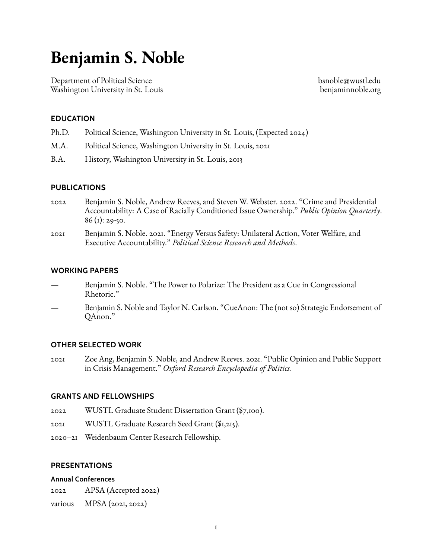# **Benjamin S. Noble**

Department of Political Science Washington University in St. Louis [bsnoble@wustl.edu](mailto:bsnoble@wustl.edu) [benjaminnoble.org](https://benjaminnoble.org)

## **EDUCATION**

- Ph.D. Political Science, Washington University in St. Louis, (Expected 2024)
- M.A. Political Science, Washington University in St. Louis, 2021
- B.A. History, Washington University in St. Louis, 2013

#### **PUBLICATIONS**

- 2022 Benjamin S. Noble, Andrew Reeves, and Steven W. Webster. 2022. "Crime and Presidential Accountability: A Case of Racially Conditioned Issue Ownership." *Public Opinion Quarterly*.  $86$  (1): 29-50.
- 2021 Benjamin S. Noble. 2021. "Energy Versus Safety: Unilateral Action, Voter Welfare, and Executive Accountability." *Political Science Research and Methods*.

#### **WORKING PAPERS**

- Benjamin S. Noble. "The Power to Polarize: The President as a Cue in Congressional Rhetoric."
- Benjamin S. Noble and Taylor N. Carlson. "CueAnon: The (not so) Strategic Endorsement of QAnon."

#### **OTHER SELECTED WORK**

2021 Zoe Ang, Benjamin S. Noble, and Andrew Reeves. 2021. "Public Opinion and Public Support in Crisis Management." *Oxford Research Encyclopedia of Politics.*

#### **GRANTS AND FELLOWSHIPS**

- 2022 WUSTL Graduate Student Dissertation Grant (\$7,100).
- 2021 WUSTL Graduate Research Seed Grant (\$1,215).
- 2020–21 Weidenbaum Center Research Fellowship.

#### **PRESENTATIONS**

#### **Annual Conferences**

2022 APSA (Accepted 2022)

various MPSA (2021, 2022)